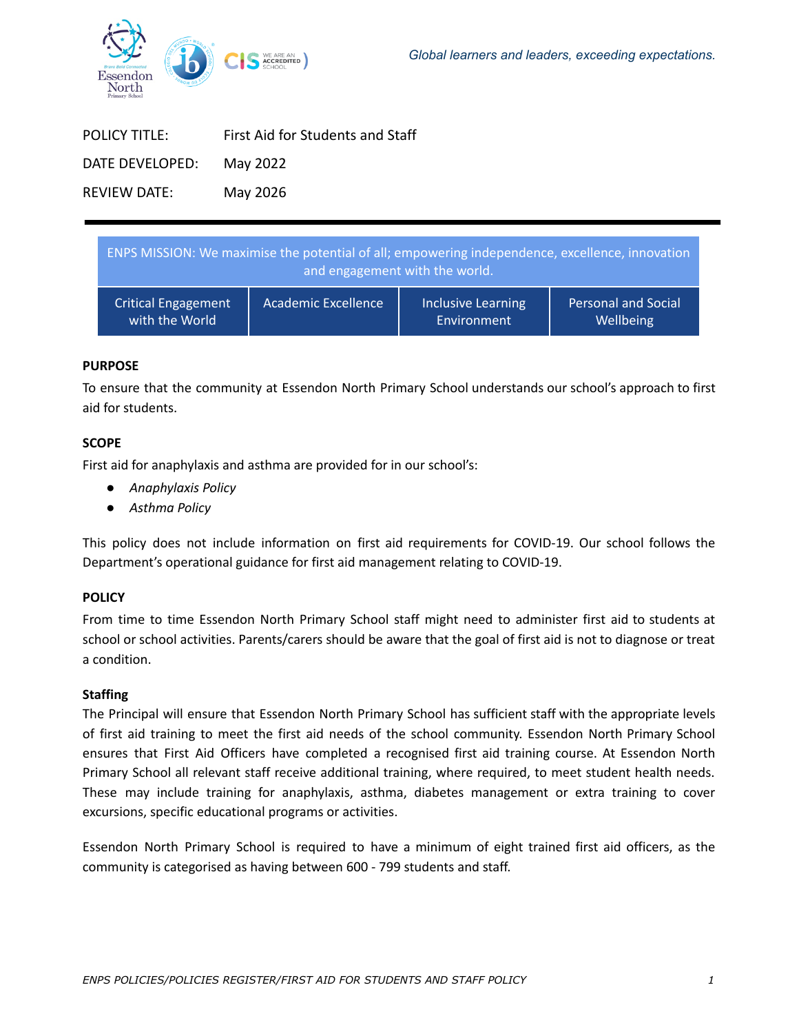

| First Aid for Students and Staff |
|----------------------------------|
| May 2022                         |
| May 2026                         |
|                                  |

| ENPS MISSION: We maximise the potential of all; empowering independence, excellence, innovation<br>and engagement with the world. |                            |                           |                            |
|-----------------------------------------------------------------------------------------------------------------------------------|----------------------------|---------------------------|----------------------------|
| <b>Critical Engagement</b>                                                                                                        | <b>Academic Excellence</b> | <b>Inclusive Learning</b> | <b>Personal and Social</b> |
| with the World                                                                                                                    |                            | Environment               | Wellbeing                  |

# **PURPOSE**

To ensure that the community at Essendon North Primary School understands our school's approach to first aid for students.

### **SCOPE**

First aid for anaphylaxis and asthma are provided for in our school's:

- *Anaphylaxis Policy*
- *Asthma Policy*

This policy does not include information on first aid requirements for COVID-19. Our school follows the Department's operational guidance for first aid management relating to COVID-19.

### **POLICY**

From time to time Essendon North Primary School staff might need to administer first aid to students at school or school activities. Parents/carers should be aware that the goal of first aid is not to diagnose or treat a condition.

### **Staffing**

The Principal will ensure that Essendon North Primary School has sufficient staff with the appropriate levels of first aid training to meet the first aid needs of the school community. Essendon North Primary School ensures that First Aid Officers have completed a recognised first aid training course. At Essendon North Primary School all relevant staff receive additional training, where required, to meet student health needs. These may include training for anaphylaxis, asthma, diabetes management or extra training to cover excursions, specific educational programs or activities.

Essendon North Primary School is required to have a minimum of eight trained first aid officers, as the community is categorised as having between 600 - 799 students and staff.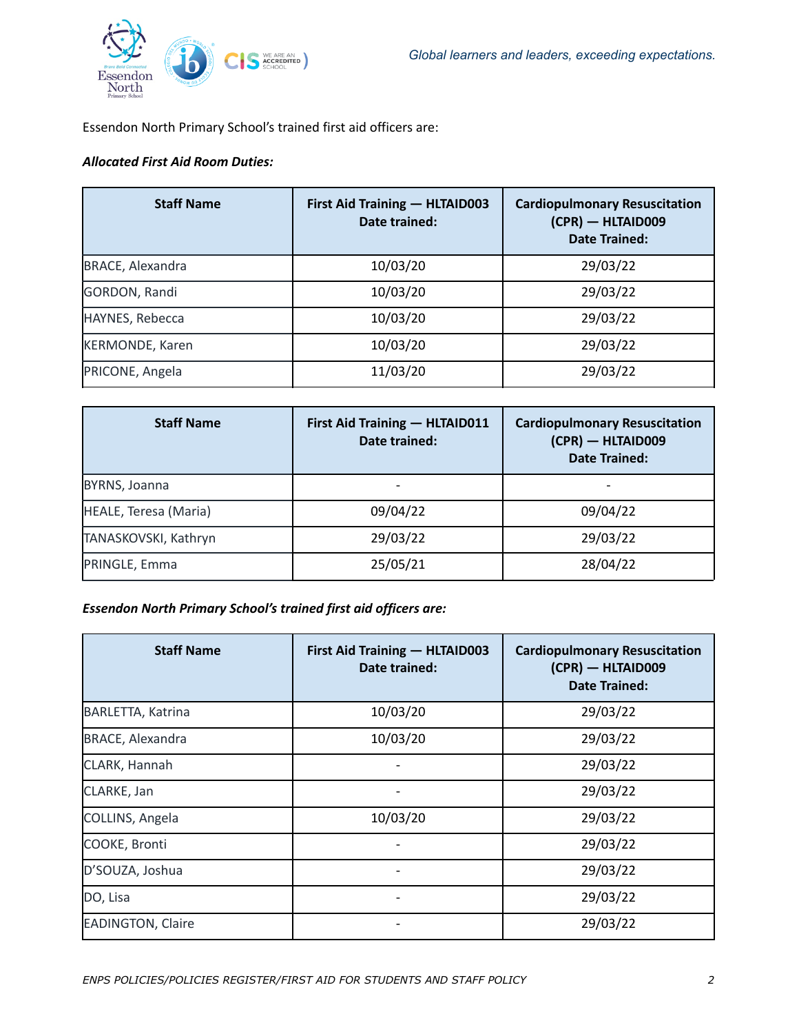

Essendon North Primary School's trained first aid officers are:

# *Allocated First Aid Room Duties:*

| <b>Staff Name</b>       | First Aid Training - HLTAID003<br>Date trained: | <b>Cardiopulmonary Resuscitation</b><br>(CPR) - HLTAID009<br>Date Trained: |
|-------------------------|-------------------------------------------------|----------------------------------------------------------------------------|
| <b>BRACE, Alexandra</b> | 10/03/20                                        | 29/03/22                                                                   |
| GORDON, Randi           | 10/03/20                                        | 29/03/22                                                                   |
| HAYNES, Rebecca         | 10/03/20                                        | 29/03/22                                                                   |
| <b>KERMONDE, Karen</b>  | 10/03/20                                        | 29/03/22                                                                   |
| PRICONE, Angela         | 11/03/20                                        | 29/03/22                                                                   |

| <b>Staff Name</b>     | First Aid Training - HLTAID011<br>Date trained: | <b>Cardiopulmonary Resuscitation</b><br>$(CPR)$ - HLTAID009<br><b>Date Trained:</b> |
|-----------------------|-------------------------------------------------|-------------------------------------------------------------------------------------|
| BYRNS, Joanna         |                                                 |                                                                                     |
| HEALE, Teresa (Maria) | 09/04/22                                        | 09/04/22                                                                            |
| TANASKOVSKI, Kathryn  | 29/03/22                                        | 29/03/22                                                                            |
| PRINGLE, Emma         | 25/05/21                                        | 28/04/22                                                                            |

*Essendon North Primary School's trained first aid officers are:*

| <b>Staff Name</b>        | First Aid Training - HLTAID003<br>Date trained: | <b>Cardiopulmonary Resuscitation</b><br>(CPR) - HLTAID009<br><b>Date Trained:</b> |
|--------------------------|-------------------------------------------------|-----------------------------------------------------------------------------------|
| <b>BARLETTA, Katrina</b> | 10/03/20                                        | 29/03/22                                                                          |
| <b>BRACE, Alexandra</b>  | 10/03/20                                        | 29/03/22                                                                          |
| CLARK, Hannah            |                                                 | 29/03/22                                                                          |
| CLARKE, Jan              |                                                 | 29/03/22                                                                          |
| COLLINS, Angela          | 10/03/20                                        | 29/03/22                                                                          |
| COOKE, Bronti            |                                                 | 29/03/22                                                                          |
| D'SOUZA, Joshua          |                                                 | 29/03/22                                                                          |
| DO, Lisa                 |                                                 | 29/03/22                                                                          |
| <b>EADINGTON, Claire</b> |                                                 | 29/03/22                                                                          |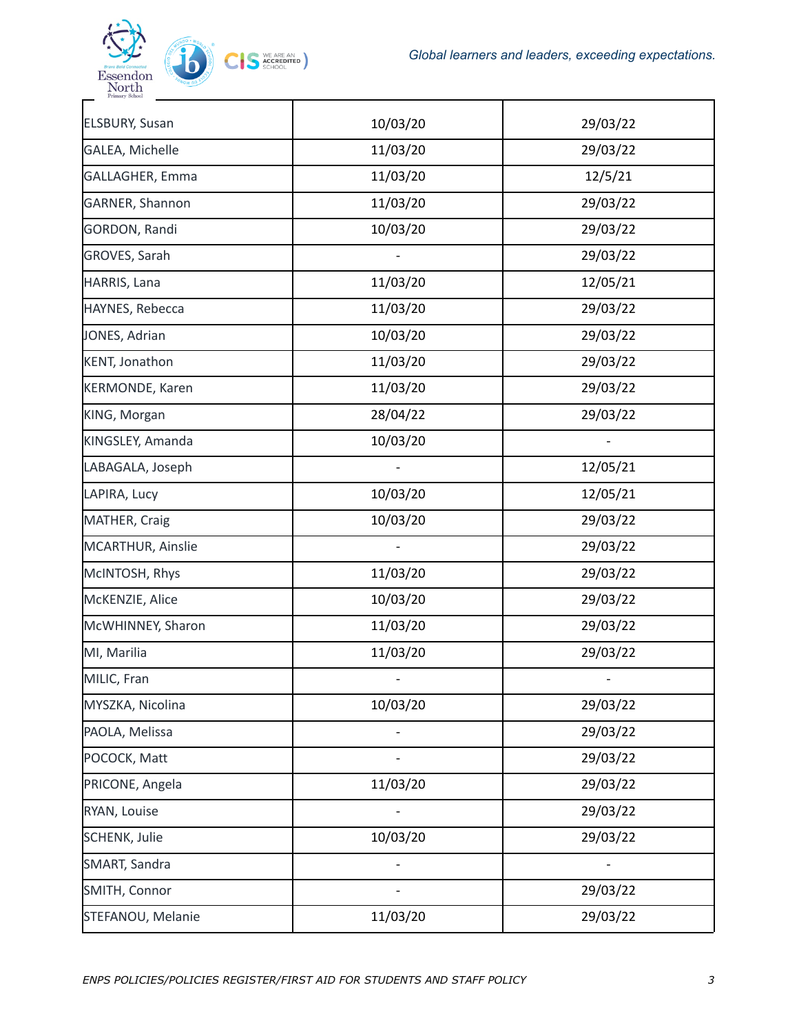



| <b>ELSBURY, Susan</b>  | 10/03/20 | 29/03/22 |
|------------------------|----------|----------|
| GALEA, Michelle        | 11/03/20 | 29/03/22 |
| GALLAGHER, Emma        | 11/03/20 | 12/5/21  |
| GARNER, Shannon        | 11/03/20 | 29/03/22 |
| GORDON, Randi          | 10/03/20 | 29/03/22 |
| GROVES, Sarah          |          | 29/03/22 |
| HARRIS, Lana           | 11/03/20 | 12/05/21 |
| HAYNES, Rebecca        | 11/03/20 | 29/03/22 |
| JONES, Adrian          | 10/03/20 | 29/03/22 |
| <b>KENT, Jonathon</b>  | 11/03/20 | 29/03/22 |
| <b>KERMONDE, Karen</b> | 11/03/20 | 29/03/22 |
| KING, Morgan           | 28/04/22 | 29/03/22 |
| KINGSLEY, Amanda       | 10/03/20 |          |
| LABAGALA, Joseph       |          | 12/05/21 |
| LAPIRA, Lucy           | 10/03/20 | 12/05/21 |
| MATHER, Craig          | 10/03/20 | 29/03/22 |
| MCARTHUR, Ainslie      |          | 29/03/22 |
| McINTOSH, Rhys         | 11/03/20 | 29/03/22 |
| McKENZIE, Alice        | 10/03/20 | 29/03/22 |
| McWHINNEY, Sharon      | 11/03/20 | 29/03/22 |
| MI, Marilia            | 11/03/20 | 29/03/22 |
| MILIC, Fran            |          |          |
| MYSZKA, Nicolina       | 10/03/20 | 29/03/22 |
| PAOLA, Melissa         |          | 29/03/22 |
| POCOCK, Matt           |          | 29/03/22 |
| PRICONE, Angela        | 11/03/20 | 29/03/22 |
| RYAN, Louise           |          | 29/03/22 |
| <b>SCHENK, Julie</b>   | 10/03/20 | 29/03/22 |
| SMART, Sandra          |          |          |
| SMITH, Connor          |          | 29/03/22 |
| STEFANOU, Melanie      | 11/03/20 | 29/03/22 |
|                        |          |          |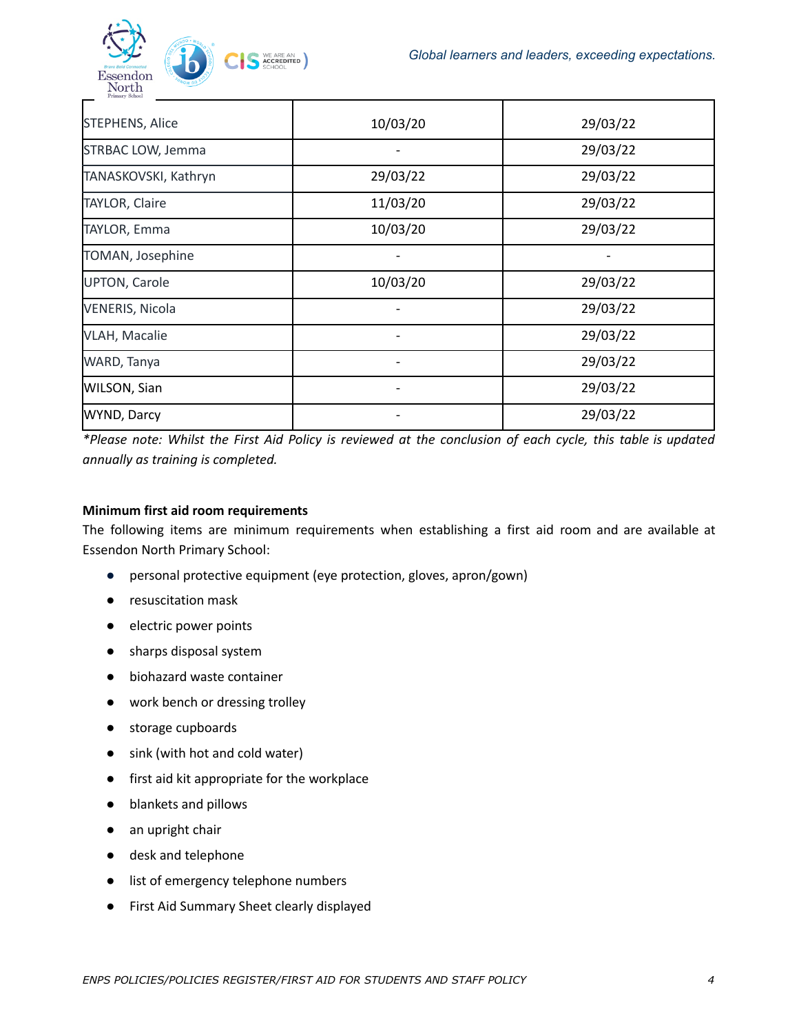

| <b>STEPHENS, Alice</b> | 10/03/20 | 29/03/22 |
|------------------------|----------|----------|
| STRBAC LOW, Jemma      |          | 29/03/22 |
| TANASKOVSKI, Kathryn   | 29/03/22 | 29/03/22 |
| <b>TAYLOR, Claire</b>  | 11/03/20 | 29/03/22 |
| <b>TAYLOR, Emma</b>    | 10/03/20 | 29/03/22 |
| TOMAN, Josephine       |          |          |
| <b>UPTON, Carole</b>   | 10/03/20 | 29/03/22 |
| <b>VENERIS, Nicola</b> |          | 29/03/22 |
| <b>VLAH, Macalie</b>   |          | 29/03/22 |
| WARD, Tanya            |          | 29/03/22 |
| WILSON, Sian           |          | 29/03/22 |
| <b>WYND, Darcy</b>     |          | 29/03/22 |

\*Please note: Whilst the First Aid Policy is reviewed at the conclusion of each cycle, this table is updated *annually as training is completed.*

# **Minimum first aid room requirements**

The following items are minimum requirements when establishing a first aid room and are available at Essendon North Primary School:

- personal protective equipment (eye protection, gloves, apron/gown)
- resuscitation mask
- electric power points
- sharps disposal system
- biohazard waste container
- work bench or dressing trolley
- storage cupboards
- sink (with hot and cold water)
- first aid kit appropriate for the workplace
- blankets and pillows
- an upright chair
- desk and telephone
- list of emergency telephone numbers
- First Aid [Summary](https://www.education.vic.gov.au/hrweb/Documents/OHS/firstaidsumm.docx) Sheet clearly displayed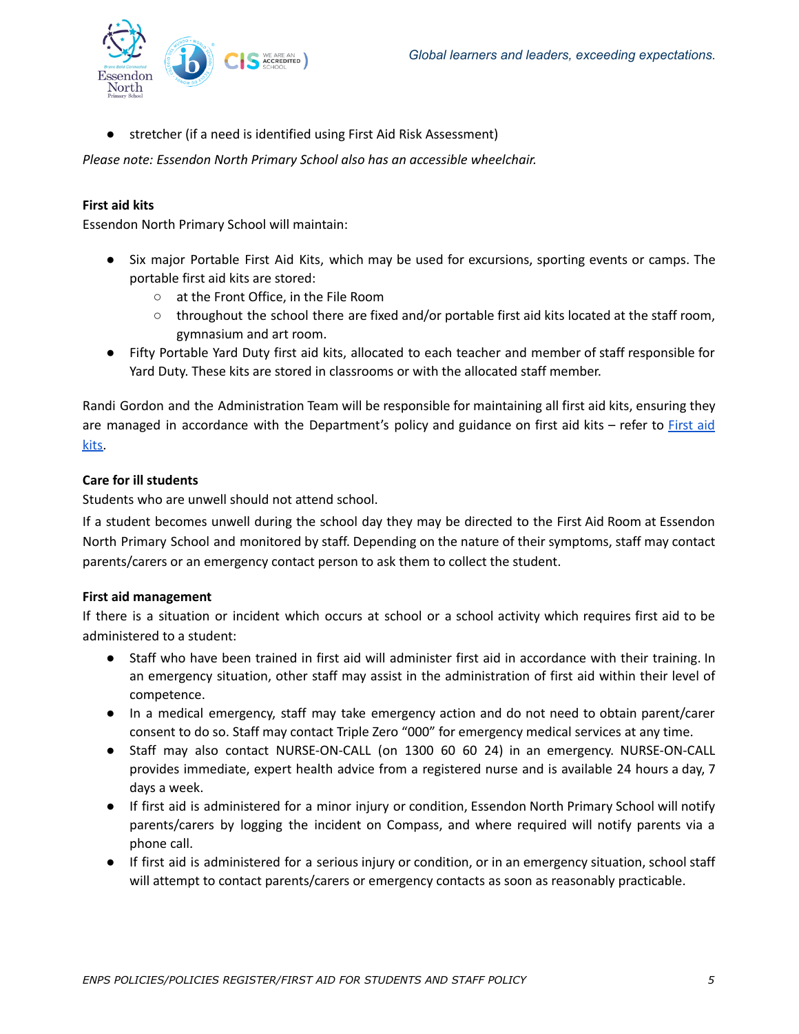

stretcher (if a need is identified using First Aid Risk [Assessment\)](https://www.education.vic.gov.au/hrweb/Documents/OHS/firstaidriskassess.docx)

*Please note: Essendon North Primary School also has an accessible wheelchair.*

### **First aid kits**

Essendon North Primary School will maintain:

- Six major Portable First Aid Kits, which may be used for excursions, sporting events or camps. The portable first aid kits are stored:
	- at the Front Office, in the File Room
	- throughout the school there are fixed and/or portable first aid kits located at the staff room, gymnasium and art room.
- Fifty Portable Yard Duty first aid kits, allocated to each teacher and member of staff responsible for Yard Duty. These kits are stored in classrooms or with the allocated staff member.

Randi Gordon and the Administration Team will be responsible for maintaining all first aid kits, ensuring they are managed in accordance with the Department's policy and guidance on first aid kits – refer to [First](https://www2.education.vic.gov.au/pal/first-aid-students-and-staff/guidance/first-aid-kits) aid [kits.](https://www2.education.vic.gov.au/pal/first-aid-students-and-staff/guidance/first-aid-kits)

### **Care for ill students**

Students who are unwell should not attend school.

If a student becomes unwell during the school day they may be directed to the First Aid Room at Essendon North Primary School and monitored by staff. Depending on the nature of their symptoms, staff may contact parents/carers or an emergency contact person to ask them to collect the student.

### **First aid management**

If there is a situation or incident which occurs at school or a school activity which requires first aid to be administered to a student:

- Staff who have been trained in first aid will administer first aid in accordance with their training. In an emergency situation, other staff may assist in the administration of first aid within their level of competence.
- In a medical emergency, staff may take emergency action and do not need to obtain parent/carer consent to do so. Staff may contact Triple Zero "000" for emergency medical services at any time.
- Staff may also contact NURSE-ON-CALL (on 1300 60 60 24) in an emergency. NURSE-ON-CALL provides immediate, expert health advice from a registered nurse and is available 24 hours a day, 7 days a week.
- If first aid is administered for a minor injury or condition, Essendon North Primary School will notify parents/carers by logging the incident on Compass, and where required will notify parents via a phone call.
- If first aid is administered for a serious injury or condition, or in an emergency situation, school staff will attempt to contact parents/carers or emergency contacts as soon as reasonably practicable.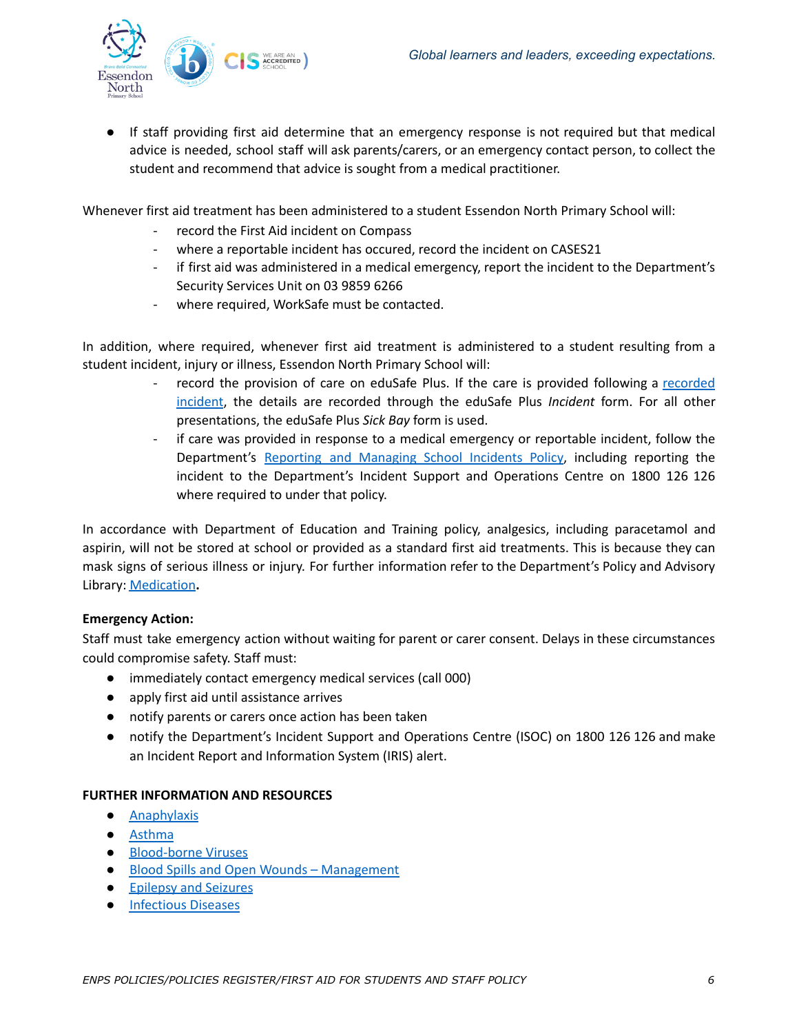

● If staff providing first aid determine that an emergency response is not required but that medical advice is needed, school staff will ask parents/carers, or an emergency contact person, to collect the student and recommend that advice is sought from a medical practitioner.

Whenever first aid treatment has been administered to a student Essendon North Primary School will:

- record the First Aid incident on Compass
- where a reportable incident has occured, record the incident on CASES21
- if first aid was administered in a medical emergency, report the incident to the Department's Security Services Unit on 03 9859 6266
- where required, WorkSafe must be contacted.

In addition, where required, whenever first aid treatment is administered to a student resulting from a student incident, injury or illness, Essendon North Primary School will:

- record the provision of care on eduSafe Plus. If the care is provided following a [recorded](https://www2.education.vic.gov.au/pal/reporting-and-managing-school-incidents-including-emergencies/policy) [incident](https://www2.education.vic.gov.au/pal/reporting-and-managing-school-incidents-including-emergencies/policy), the details are recorded through the eduSafe Plus *Incident* form. For all other presentations, the eduSafe Plus *Sick Bay* form is used.
- if care was provided in response to a medical emergency or reportable incident, follow the Department's Reporting and [Managing](https://www2.education.vic.gov.au/pal/reporting-and-managing-school-incidents-including-emergencies/policy) School Incidents Policy, including reporting the incident to the Department's Incident Support and Operations Centre on 1800 126 126 where required to under that policy.

In accordance with Department of Education and Training policy, analgesics, including paracetamol and aspirin, will not be stored at school or provided as a standard first aid treatments. This is because they can mask signs of serious illness or injury. For further information refer to the Department's Policy and Advisory Library: [Medication](https://www2.education.vic.gov.au/pal/medication/policy)**.**

### **Emergency Action:**

Staff must take emergency action without waiting for parent or carer consent. Delays in these circumstances could compromise safety. Staff must:

- immediately contact emergency medical services (call 000)
- apply first aid until assistance arrives
- notify parents or carers once action has been taken
- notify the Department's Incident Support and Operations Centre (ISOC) on 1800 126 126 and make an Incident Report and Information System (IRIS) alert.

### **FURTHER INFORMATION AND RESOURCES**

- [Anaphylaxis](https://www2.education.vic.gov.au/pal/anaphylaxis/policy)
- [Asthma](https://www2.education.vic.gov.au/pal/asthma/policy)
- [Blood-borne](https://www2.education.vic.gov.au/pal/blood-borne-viruses/policy) Viruses
- Blood Spills and Open Wounds [Management](https://www2.education.vic.gov.au/pal/blood-spills-and-open-wounds-management/policy)
- [Epilepsy](https://www2.education.vic.gov.au/pal/epilepsy-and-seizures/policy) and Seizures
- [Infectious](https://www2.education.vic.gov.au/pal/infectious-diseases/policy) Diseases